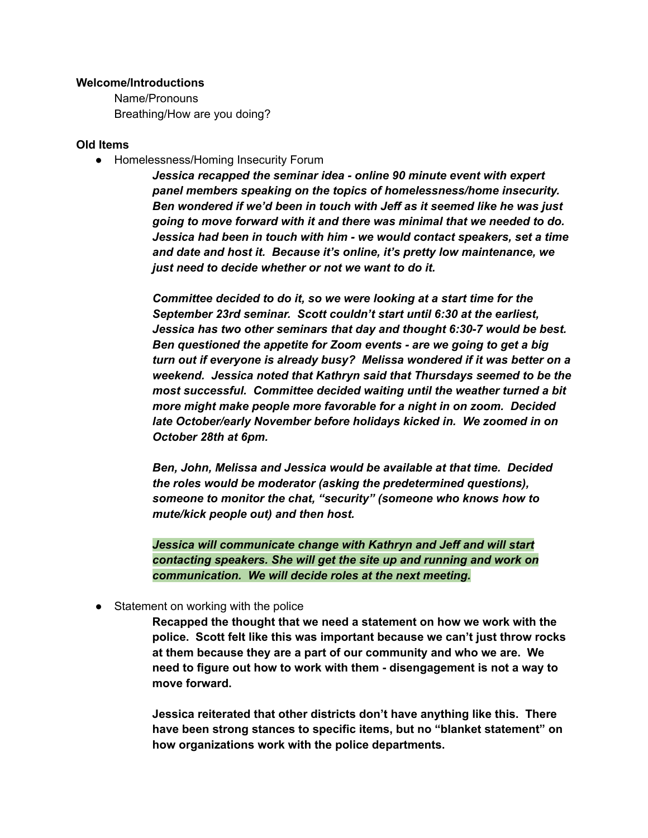### **Welcome/Introductions**

Name/Pronouns Breathing/How are you doing?

### **Old Items**

● Homelessness/Homing Insecurity Forum

*Jessica recapped the seminar idea - online 90 minute event with expert panel members speaking on the topics of homelessness/home insecurity. Ben wondered if we'd been in touch with Jeff as it seemed like he was just going to move forward with it and there was minimal that we needed to do. Jessica had been in touch with him - we would contact speakers, set a time and date and host it. Because it's online, it's pretty low maintenance, we just need to decide whether or not we want to do it.*

*Committee decided to do it, so we were looking at a start time for the September 23rd seminar. Scott couldn't start until 6:30 at the earliest, Jessica has two other seminars that day and thought 6:30-7 would be best. Ben questioned the appetite for Zoom events - are we going to get a big turn out if everyone is already busy? Melissa wondered if it was better on a weekend. Jessica noted that Kathryn said that Thursdays seemed to be the most successful. Committee decided waiting until the weather turned a bit more might make people more favorable for a night in on zoom. Decided late October/early November before holidays kicked in. We zoomed in on October 28th at 6pm.*

*Ben, John, Melissa and Jessica would be available at that time. Decided the roles would be moderator (asking the predetermined questions), someone to monitor the chat, "security" (someone who knows how to mute/kick people out) and then host.*

*Jessica will communicate change with Kathryn and Jeff and will start contacting speakers. She will get the site up and running and work on communication. We will decide roles at the next meeting.*

• Statement on working with the police

**Recapped the thought that we need a statement on how we work with the police. Scott felt like this was important because we can't just throw rocks at them because they are a part of our community and who we are. We need to figure out how to work with them - disengagement is not a way to move forward.**

**Jessica reiterated that other districts don't have anything like this. There have been strong stances to specific items, but no "blanket statement" on how organizations work with the police departments.**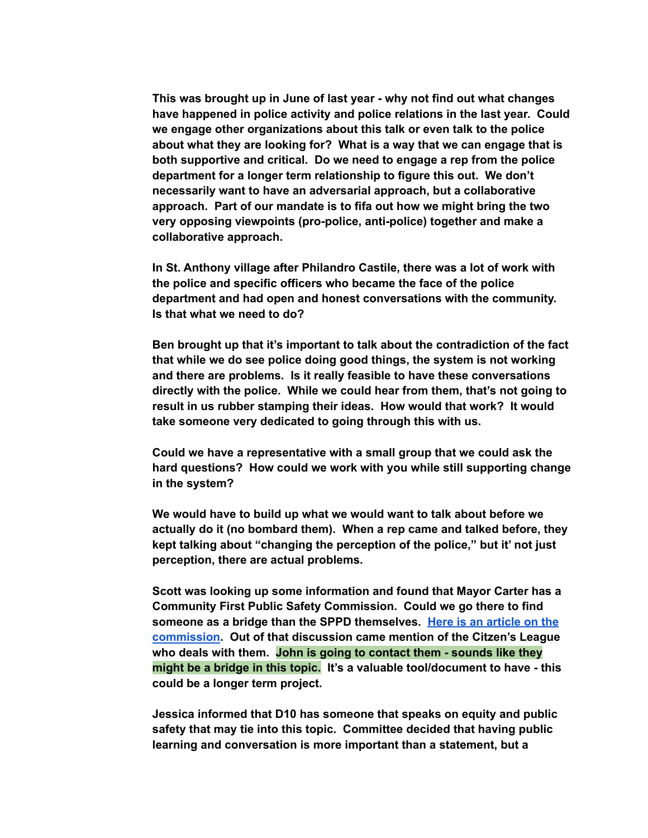**This was brought up in June of last year - why not find out what changes have happened in police activity and police relations in the last year. Could we engage other organizations about this talk or even talk to the police about what they are looking for? What is a way that we can engage that is both supportive and critical. Do we need to engage a rep from the police department for a longer term relationship to figure this out. We don't necessarily want to have an adversarial approach, but a collaborative approach. Part of our mandate is to fifa out how we might bring the two very opposing viewpoints (pro-police, anti-police) together and make a collaborative approach.**

**In St. Anthony village after Philandro Castile, there was a lot of work with the police and specific officers who became the face of the police department and had open and honest conversations with the community. Is that what we need to do?**

**Ben brought up that it's important to talk about the contradiction of the fact that while we do see police doing good things, the system is not working and there are problems. Is it really feasible to have these conversations directly with the police. While we could hear from them, that's not going to result in us rubber stamping their ideas. How would that work? It would take someone very dedicated to going through this with us.**

**Could we have a representative with a small group that we could ask the hard questions? How could we work with you while still supporting change in the system?**

**We would have to build up what we would want to talk about before we actually do it (no bombard them). When a rep came and talked before, they kept talking about "changing the perception of the police," but it' not just perception, there are actual problems.**

**Scott was looking up some information and found that Mayor Carter has a Community First Public Safety Commission. Could we go there to find someone as a bridge than the SPPD themselves. Here is an [article](https://www.twincities.com/2021/05/18/commission_suggests_a_re-thinking_of_traditional_police_roles_in_st-_paul/) on the [commission](https://www.twincities.com/2021/05/18/commission_suggests_a_re-thinking_of_traditional_police_roles_in_st-_paul/). Out of that discussion came mention of the Citzen's League who deals with them. John is going to contact them - sounds like they might be a bridge in this topic. It's a valuable tool/document to have - this could be a longer term project.**

**Jessica informed that D10 has someone that speaks on equity and public safety that may tie into this topic. Committee decided that having public learning and conversation is more important than a statement, but a**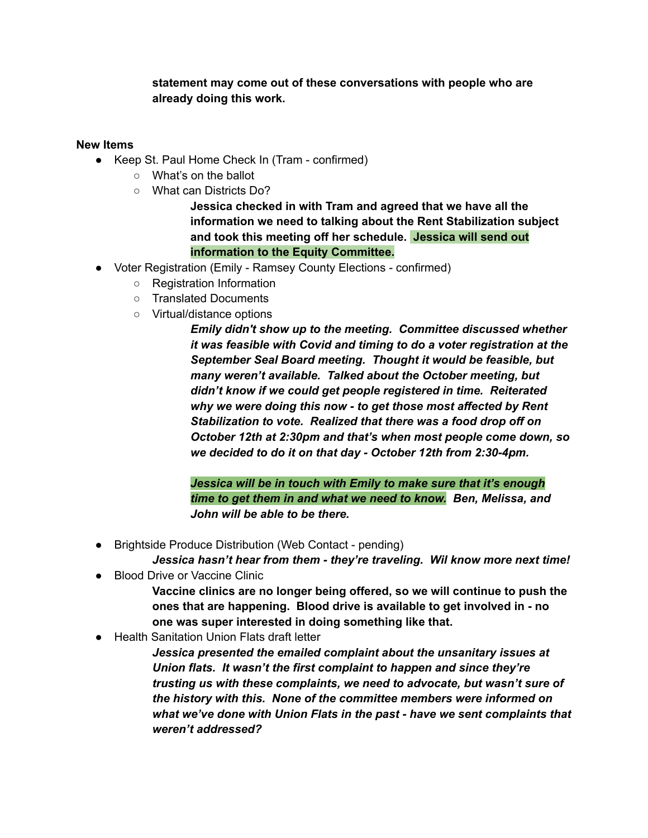**statement may come out of these conversations with people who are already doing this work.**

## **New Items**

- Keep St. Paul Home Check In (Tram confirmed)
	- What's on the ballot
	- What can Districts Do?

**Jessica checked in with Tram and agreed that we have all the information we need to talking about the Rent Stabilization subject and took this meeting off her schedule. Jessica will send out information to the Equity Committee.**

- Voter Registration (Emily Ramsey County Elections confirmed)
	- Registration Information
	- Translated Documents
	- Virtual/distance options

*Emily didn't show up to the meeting. Committee discussed whether it was feasible with Covid and timing to do a voter registration at the September Seal Board meeting. Thought it would be feasible, but many weren't available. Talked about the October meeting, but didn't know if we could get people registered in time. Reiterated why we were doing this now - to get those most affected by Rent Stabilization to vote. Realized that there was a food drop off on October 12th at 2:30pm and that's when most people come down, so we decided to do it on that day - October 12th from 2:30-4pm.*

*Jessica will be in touch with Emily to make sure that it's enough time to get them in and what we need to know. Ben, Melissa, and John will be able to be there.*

- Brightside Produce Distribution (Web Contact pending)
	- *Jessica hasn't hear from them - they're traveling. Wil know more next time!*
- Blood Drive or Vaccine Clinic

**Vaccine clinics are no longer being offered, so we will continue to push the ones that are happening. Blood drive is available to get involved in - no one was super interested in doing something like that.**

● Health Sanitation Union Flats draft letter

*Jessica presented the emailed complaint about the unsanitary issues at Union flats. It wasn't the first complaint to happen and since they're trusting us with these complaints, we need to advocate, but wasn't sure of the history with this. None of the committee members were informed on what we've done with Union Flats in the past - have we sent complaints that weren't addressed?*